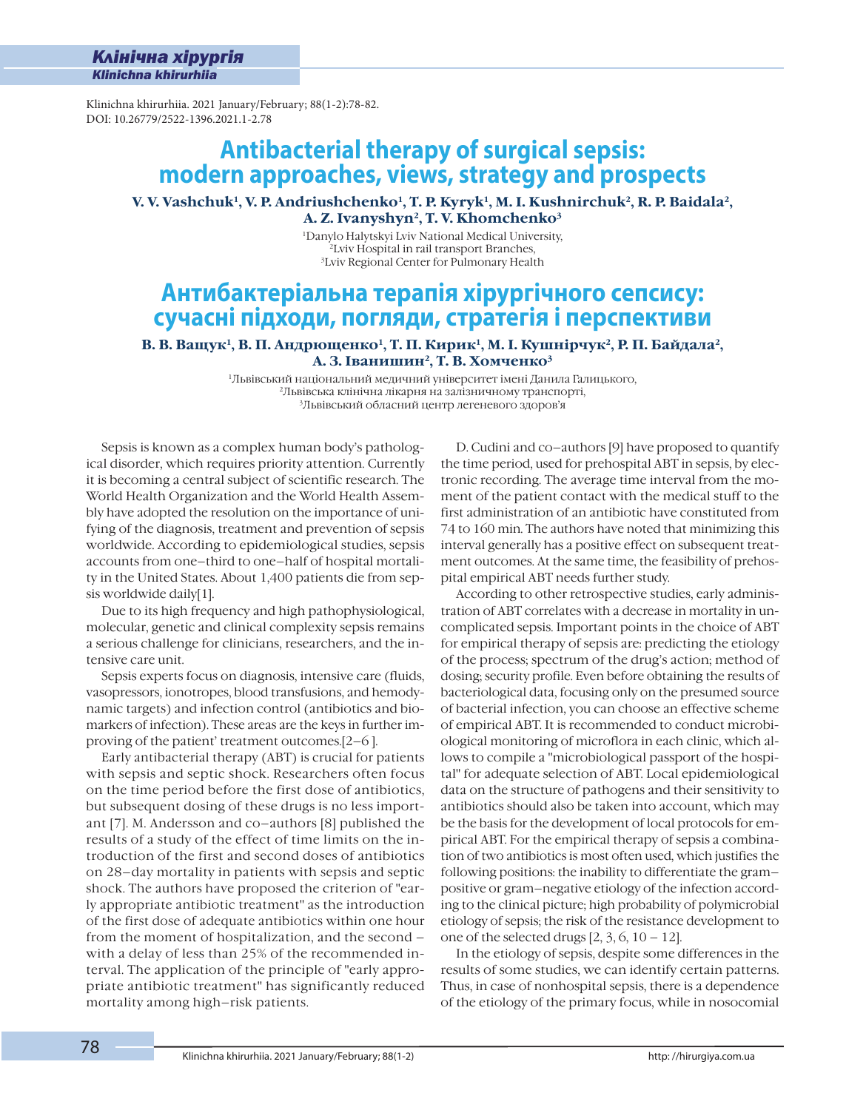í

Klinichna khirurhiia. 2021 January/February; 88(1-2):78-82. DOI: 10.26779/2522-1396.2021.1-2.78

# **Antibacterial therapy of surgical sepsis: modern approaches, views, strategy and prospects**

**V. V. Vashchuk1, V. P. Andriushchenko1, T. P. Kyryk1, M. I. Kushnirchuk2, R. P. Baidala2, A. Z. Ivanyshyn2, T. V. Khomchenko3**

> 1Danylo Halytskyi Lviv National Medical University, 2Lviv Hospital in rail transport Branches, 3Lviv Regional Center for Pulmonary Health

# **Антибактеріальна терапія хірургічного сепсису: сучасні підходи, погляди, стратегія і перспективи**

В. В. Ващук<sup>1</sup>, В. П. Андрющенко<sup>1</sup>, Т. П. Кирик<sup>1</sup>, М. І. Кушнірчук<sup>2</sup>, Р. П. Байдала<sup>2</sup>, **А. З. Іванишин2, Т. В. Хомченко3**

> 1Львівський національний медичний університет імені Данила Галицького, 2Львівська клінічна лікарня на залізничному транспорті, 3Львівський обласний центр легеневого здоров'я

Sepsis is known as a complex human body's pathological disorder, which requires priority attention. Currently it is becoming a central subject of scientific research. The World Health Organization and the World Health Assembly have adopted the resolution on the importance of unifying of the diagnosis, treatment and prevention of sepsis worldwide. According to epidemiological studies, sepsis accounts from one–third to one–half of hospital mortality in the United States. About 1,400 patients die from sepsis worldwide daily[1].

Due to its high frequency and high pathophysiological, molecular, genetic and clinical complexity sepsis remains a serious challenge for clinicians, researchers, and the intensive care unit.

Sepsis experts focus on diagnosis, intensive care (fluids, vasopressors, ionotropes, blood transfusions, and hemodynamic targets) and infection control (antibiotics and biomarkers of infection). These areas are the keys in further improving of the patient' treatment outcomes.[2–6 ].

Early antibacterial therapy (ABT) is crucial for patients with sepsis and septic shock. Researchers often focus on the time period before the first dose of antibiotics, but subsequent dosing of these drugs is no less important [7]. M. Andersson and co–authors [8] published the results of a study of the effect of time limits on the introduction of the first and second doses of antibiotics on 28–day mortality in patients with sepsis and septic shock. The authors have proposed the criterion of "early appropriate antibiotic treatment" as the introduction of the first dose of adequate antibiotics within one hour from the moment of hospitalization, and the second – with a delay of less than 25% of the recommended interval. The application of the principle of "early appropriate antibiotic treatment" has significantly reduced mortality among high–risk patients.

D. Cudini and co–authors [9] have proposed to quantify the time period, used for prehospital ABT in sepsis, by electronic recording. The average time interval from the moment of the patient contact with the medical stuff to the first administration of an antibiotic have constituted from 74 to 160 min. The authors have noted that minimizing this interval generally has a positive effect on subsequent treatment outcomes. At the same time, the feasibility of prehospital empirical ABT needs further study.

According to other retrospective studies, early administration of ABT correlates with a decrease in mortality in uncomplicated sepsis. Important points in the choice of ABT for empirical therapy of sepsis are: predicting the etiology of the process; spectrum of the drug's action; method of dosing; security profile. Even before obtaining the results of bacteriological data, focusing only on the presumed source of bacterial infection, you can choose an effective scheme of empirical ABT. It is recommended to conduct microbiological monitoring of microflora in each clinic, which allows to compile a "microbiological passport of the hospital" for adequate selection of ABT. Local epidemiological data on the structure of pathogens and their sensitivity to antibiotics should also be taken into account, which may be the basis for the development of local protocols for empirical ABT. For the empirical therapy of sepsis a combination of two antibiotics is most often used, which justifies the following positions: the inability to differentiate the gram– positive or gram–negative etiology of the infection according to the clinical picture; high probability of polymicrobial etiology of sepsis; the risk of the resistance development to one of the selected drugs  $[2, 3, 6, 10 - 12]$ .

In the etiology of sepsis, despite some differences in the results of some studies, we can identify certain patterns. Thus, in case of nonhospital sepsis, there is a dependence of the etiology of the primary focus, while in nosocomial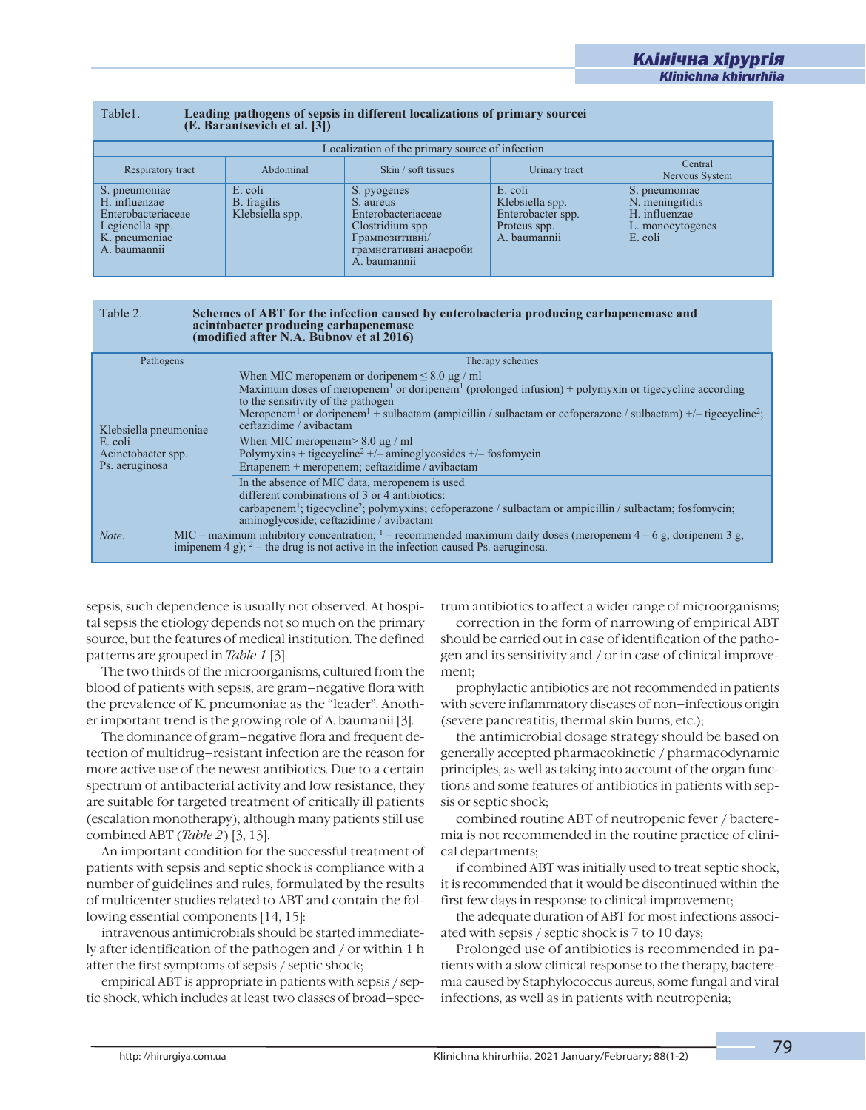í

# Table1. **Leading pathogens of sepsis in different localizations of primary sourcei (E. Barantsevich et al. [3])**

| Localization of the primary source of infection                                                          |                                           |                                                                                                                                |                                                                                 |                                                                                  |  |  |
|----------------------------------------------------------------------------------------------------------|-------------------------------------------|--------------------------------------------------------------------------------------------------------------------------------|---------------------------------------------------------------------------------|----------------------------------------------------------------------------------|--|--|
| Respiratory tract                                                                                        | Abdominal                                 | Skin / soft tissues                                                                                                            | Urinary tract                                                                   | Central<br>Nervous System                                                        |  |  |
| S. pneumoniae<br>H. influenzae<br>Enterobacteriaceae<br>Legionella spp.<br>K. pneumoniae<br>A. baumannii | E. coli<br>B. fragilis<br>Klebsiella spp. | S. pyogenes<br>S. aureus<br>Enterobacteriaceae<br>Clostridium spp.<br>Грампозитивні/<br>грамнегативні анаероби<br>A. baumannii | E. coli<br>Klebsiella spp.<br>Enterobacter spp.<br>Proteus spp.<br>A. baumannii | S. pneumoniae<br>N. meningitidis<br>H. influenzae<br>L. monocytogenes<br>E. coli |  |  |

## Table 2. Schemes of ABT for the infection caused by enterobacteria producing carbapenemase and acintobacter producing carbapenemase<br>(modified after N.A. Bubnov et al 2016)

| Pathogens                                       | Therapy schemes                                                                                                                                                                                                                                                                                                                                                                                           |  |  |
|-------------------------------------------------|-----------------------------------------------------------------------------------------------------------------------------------------------------------------------------------------------------------------------------------------------------------------------------------------------------------------------------------------------------------------------------------------------------------|--|--|
| Klebsiella pneumoniae                           | When MIC meropenem or doripenem $\leq 8.0 \mu g$ / ml<br>Maximum doses of meropenem <sup>1</sup> or doripenem <sup>1</sup> (prolonged infusion) + polymyxin or tigecycline according<br>to the sensitivity of the pathogen<br>Meropenem <sup>1</sup> or doripenem <sup>1</sup> + sulbactam (ampicillin / sulbactam or cefoperazone / sulbactam) +/- tigecycline <sup>2</sup> ;<br>ceftazidime / avibactam |  |  |
| E. coli<br>Acinetobacter spp.<br>Ps. aeruginosa | When MIC meropenem $> 8.0 \mu$ g / ml<br>Polymyxins + tigecycline <sup>2</sup> +/- aminoglycosides +/- fosfomycin<br>Ertapenem + meropenem; ceftazidime / avibactam                                                                                                                                                                                                                                       |  |  |
|                                                 | In the absence of MIC data, meropenem is used<br>different combinations of 3 or 4 antibiotics:<br>carbapenem <sup>1</sup> ; tigecycline <sup>2</sup> ; polymyxins; cefoperazone / sulbactam or ampicillin / sulbactam; fosfomycin;<br>aminoglycoside; ceftazidime / avibactam                                                                                                                             |  |  |
| Note.                                           | MIC – maximum inhibitory concentration; $1$ – recommended maximum daily doses (meropenem 4 – 6 g, doripenem 3 g,<br>imipenem 4 g); $2$ – the drug is not active in the infection caused Ps. aeruginosa.                                                                                                                                                                                                   |  |  |

sepsis, such dependence is usually not observed. At hospital sepsis the etiology depends not so much on the primary source, but the features of medical institution. The defined patterns are grouped in *Table 1* [3].

The two thirds of the microorganisms, cultured from the blood of patients with sepsis, are gram–negative flora with the prevalence of K. pneumoniae as the "leader". Another important trend is the growing role of A. baumanii [3].

The dominance of gram–negative flora and frequent detection of multidrug–resistant infection are the reason for more active use of the newest antibiotics. Due to a certain spectrum of antibacterial activity and low resistance, they are suitable for targeted treatment of critically ill patients (escalation monotherapy), although many patients still use combined ABT (*Table 2*) [3, 13].

An important condition for the successful treatment of patients with sepsis and septic shock is compliance with a number of guidelines and rules, formulated by the results of multicenter studies related to ABT and contain the following essential components [14, 15]:

intravenous antimicrobials should be started immediately after identification of the pathogen and / or within 1 h after the first symptoms of sepsis / septic shock;

empirical ABT is appropriate in patients with sepsis / septic shock, which includes at least two classes of broad–spectrum antibiotics to affect a wider range of microorganisms;

correction in the form of narrowing of empirical ABT should be carried out in case of identification of the pathogen and its sensitivity and / or in case of clinical improvement;

prophylactic antibiotics are not recommended in patients with severe inflammatory diseases of non–infectious origin (severe pancreatitis, thermal skin burns, etc.);

the antimicrobial dosage strategy should be based on generally accepted pharmacokinetic / pharmacodynamic principles, as well as taking into account of the organ functions and some features of antibiotics in patients with sepsis or septic shock;

combined routine ABT of neutropenic fever / bacteremia is not recommended in the routine practice of clinical departments;

if combined ABT was initially used to treat septic shock, it is recommended that it would be discontinued within the first few days in response to clinical improvement;

the adequate duration of ABT for most infections associated with sepsis / septic shock is 7 to 10 days;

Prolonged use of antibiotics is recommended in patients with a slow clinical response to the therapy, bacteremia caused by Staphylococcus aureus, some fungal and viral infections, as well as in patients with neutropenia;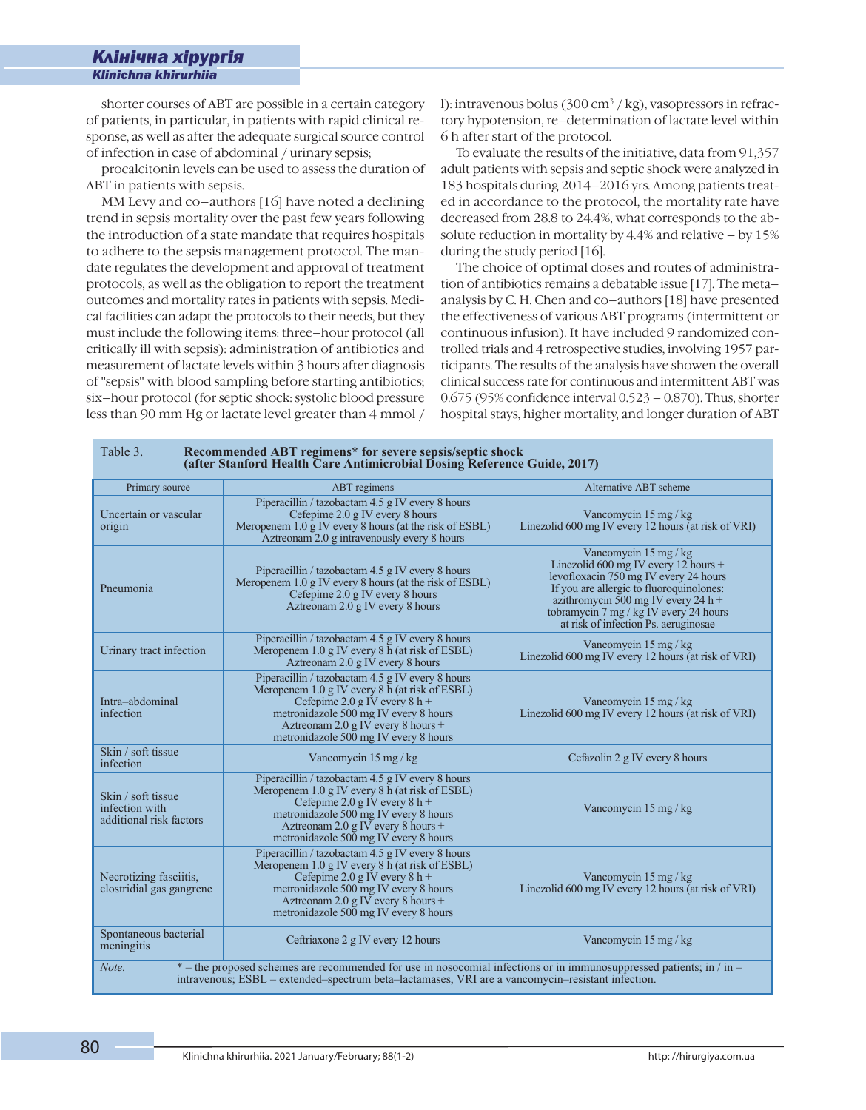í

shorter courses of ABT are possible in a certain category of patients, in particular, in patients with rapid clinical response, as well as after the adequate surgical source control of infection in case of abdominal / urinary sepsis;

procalcitonin levels can be used to assess the duration of ABT in patients with sepsis.

MM Levy and co–authors [16] have noted a declining trend in sepsis mortality over the past few years following the introduction of a state mandate that requires hospitals to adhere to the sepsis management protocol. The mandate regulates the development and approval of treatment protocols, as well as the obligation to report the treatment outcomes and mortality rates in patients with sepsis. Medical facilities can adapt the protocols to their needs, but they must include the following items: three–hour protocol (all critically ill with sepsis): administration of antibiotics and measurement of lactate levels within 3 hours after diagnosis of "sepsis" with blood sampling before starting antibiotics; six–hour protocol (for septic shock: systolic blood pressure less than 90 mm Hg or lactate level greater than 4 mmol /

l): intravenous bolus (300 cm<sup>3</sup> / kg), vasopressors in refractory hypotension, re–determination of lactate level within 6 h after start of the protocol.

To evaluate the results of the initiative, data from 91,357 adult patients with sepsis and septic shock were analyzed in 183 hospitals during 2014–2016 yrs. Among patients treated in accordance to the protocol, the mortality rate have decreased from 28.8 to 24.4%, what corresponds to the absolute reduction in mortality by 4.4% and relative – by 15% during the study period [16].

The choice of optimal doses and routes of administration of antibiotics remains a debatable issue [17]. The meta– analysis by C. H. Chen and co–authors [18] have presented the effectiveness of various ABT programs (intermittent or continuous infusion). It have included 9 randomized controlled trials and 4 retrospective studies, involving 1957 participants. The results of the analysis have showen the overall clinical success rate for continuous and intermittent ABT was 0.675 (95% confidence interval 0.523 – 0.870). Thus, shorter hospital stays, higher mortality, and longer duration of ABT

| Table 3.<br>Recommended ABT regimens* for severe sepsis/septic shock<br>(after Stanford Health Care Antimicrobial Dosing Reference Guide, 2017)                                                                                     |                                                                                                                                                                                                                                                               |                                                                                                                                                                                                                                                                             |  |  |
|-------------------------------------------------------------------------------------------------------------------------------------------------------------------------------------------------------------------------------------|---------------------------------------------------------------------------------------------------------------------------------------------------------------------------------------------------------------------------------------------------------------|-----------------------------------------------------------------------------------------------------------------------------------------------------------------------------------------------------------------------------------------------------------------------------|--|--|
| Primary source                                                                                                                                                                                                                      | ABT regimens                                                                                                                                                                                                                                                  | Alternative ABT scheme                                                                                                                                                                                                                                                      |  |  |
| Uncertain or vascular<br>origin                                                                                                                                                                                                     | Piperacillin / tazobactam 4.5 g IV every 8 hours<br>Cefepime 2.0 g IV every 8 hours<br>Meropenem 1.0 g IV every 8 hours (at the risk of ESBL)<br>Aztreonam 2.0 g intravenously every 8 hours                                                                  | Vancomycin 15 mg / kg<br>Linezolid 600 mg IV every 12 hours (at risk of VRI)                                                                                                                                                                                                |  |  |
| Pneumonia                                                                                                                                                                                                                           | Piperacillin / tazobactam 4.5 g IV every 8 hours<br>Meropenem 1.0 g IV every 8 hours (at the risk of ESBL)<br>Cefepime 2.0 g IV every 8 hours<br>Aztreonam 2.0 g IV every 8 hours                                                                             | Vancomycin 15 mg / kg<br>Linezolid 600 mg IV every 12 hours +<br>levofloxacin 750 mg IV every 24 hours<br>If you are allergic to fluoroquinolones:<br>azithromycin 500 mg IV every 24 h +<br>tobramycin 7 mg / kg IV every 24 hours<br>at risk of infection Ps. aeruginosae |  |  |
| Urinary tract infection                                                                                                                                                                                                             | Piperacillin / tazobactam 4.5 g IV every 8 hours<br>Meropenem 1.0 g IV every 8 h (at risk of ESBL)<br>Aztreonam 2.0 g IV every 8 hours                                                                                                                        | Vancomycin 15 mg / kg<br>Linezolid 600 mg IV every 12 hours (at risk of VRI)                                                                                                                                                                                                |  |  |
| Intra-abdominal<br>infection                                                                                                                                                                                                        | Piperacillin / tazobactam 4.5 g IV every 8 hours<br>Meropenem 1.0 g IV every 8 h (at risk of ESBL)<br>Cefepime 2.0 g IV every $8 h +$<br>metronidazole 500 mg IV every 8 hours<br>Aztreonam 2.0 g IV every 8 hours +<br>metronidazole 500 mg IV every 8 hours | Vancomycin 15 mg / kg<br>Linezolid 600 mg IV every 12 hours (at risk of VRI)                                                                                                                                                                                                |  |  |
| Skin / soft tissue<br>infection                                                                                                                                                                                                     | Vancomycin 15 mg / kg                                                                                                                                                                                                                                         | Cefazolin 2 g IV every 8 hours                                                                                                                                                                                                                                              |  |  |
| Skin / soft tissue<br>infection with<br>additional risk factors                                                                                                                                                                     | Piperacillin / tazobactam 4.5 g IV every 8 hours<br>Meropenem 1.0 g IV every 8 h (at risk of ESBL)<br>Cefepime 2.0 g IV every $8 h +$<br>metronidazole 500 mg IV every 8 hours<br>Aztreonam 2.0 g IV every 8 hours +<br>metronidazole 500 mg IV every 8 hours | Vancomycin 15 mg / kg                                                                                                                                                                                                                                                       |  |  |
| Necrotizing fasciitis,<br>clostridial gas gangrene                                                                                                                                                                                  | Piperacillin / tazobactam 4.5 g IV every 8 hours<br>Meropenem 1.0 g IV every 8 h (at risk of ESBL)<br>Cefepime 2.0 g IV every $8 h +$<br>metronidazole 500 mg IV every 8 hours<br>Aztreonam 2.0 g IV every 8 hours +<br>metronidazole 500 mg IV every 8 hours | Vancomycin 15 mg / kg<br>Linezolid 600 mg IV every 12 hours (at risk of VRI)                                                                                                                                                                                                |  |  |
| Spontaneous bacterial<br>meningitis                                                                                                                                                                                                 | Ceftriaxone 2 g IV every 12 hours                                                                                                                                                                                                                             | Vancomycin 15 mg / kg                                                                                                                                                                                                                                                       |  |  |
| $*$ – the proposed schemes are recommended for use in nosocomial infections or in immunosuppressed patients; in / in –<br>Note.<br>intravenous; ESBL – extended–spectrum beta–lactamases, VRI are a vancomycin–resistant infection. |                                                                                                                                                                                                                                                               |                                                                                                                                                                                                                                                                             |  |  |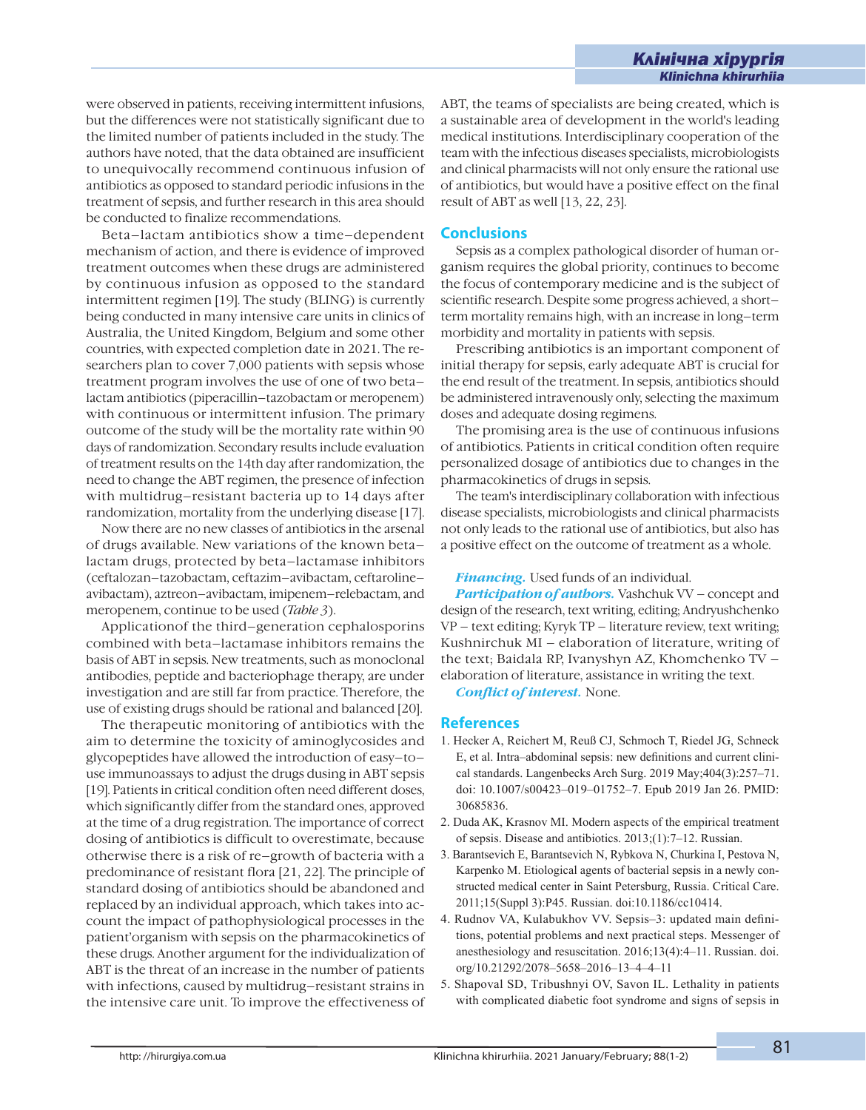were observed in patients, receiving intermittent infusions, but the differences were not statistically significant due to the limited number of patients included in the study. The authors have noted, that the data obtained are insufficient to unequivocally recommend continuous infusion of antibiotics as opposed to standard periodic infusions in the treatment of sepsis, and further research in this area should be conducted to finalize recommendations.

Beta–lactam antibiotics show a time–dependent mechanism of action, and there is evidence of improved treatment outcomes when these drugs are administered by continuous infusion as opposed to the standard intermittent regimen [19]. The study (BLING) is currently being conducted in many intensive care units in clinics of Australia, the United Kingdom, Belgium and some other countries, with expected completion date in 2021. The researchers plan to cover 7,000 patients with sepsis whose treatment program involves the use of one of two beta– lactam antibiotics (piperacillin–tazobactam or meropenem) with continuous or intermittent infusion. The primary outcome of the study will be the mortality rate within 90 days of randomization. Secondary results include evaluation of treatment results on the 14th day after randomization, the need to change the ABT regimen, the presence of infection with multidrug–resistant bacteria up to 14 days after randomization, mortality from the underlying disease [17].

Now there are no new classes of antibiotics in the arsenal of drugs available. New variations of the known beta– lactam drugs, protected by beta–lactamase inhibitors (ceftalozan–tazobactam, ceftazim–avibactam, ceftaroline– avibactam), aztreon–avibactam, imipenem–relebactam, and meropenem, continue to be used (*Table 3*).

Applicationof the third–generation cephalosporins combined with beta–lactamase inhibitors remains the basis of ABT in sepsis. New treatments, such as monoclonal antibodies, peptide and bacteriophage therapy, are under investigation and are still far from practice. Therefore, the use of existing drugs should be rational and balanced [20].

The therapeutic monitoring of antibiotics with the aim to determine the toxicity of aminoglycosides and glycopeptides have allowed the introduction of easy–to– use immunoassays to adjust the drugs dusing in ABT sepsis [19]. Patients in critical condition often need different doses, which significantly differ from the standard ones, approved at the time of a drug registration. The importance of correct dosing of antibiotics is difficult to overestimate, because otherwise there is a risk of re–growth of bacteria with a predominance of resistant flora [21, 22]. The principle of standard dosing of antibiotics should be abandoned and replaced by an individual approach, which takes into account the impact of pathophysiological processes in the patient'organism with sepsis on the pharmacokinetics of these drugs. Another argument for the individualization of ABT is the threat of an increase in the number of patients with infections, caused by multidrug–resistant strains in the intensive care unit. To improve the effectiveness of

ABT, the teams of specialists are being created, which is a sustainable area of development in the world's leading medical institutions. Interdisciplinary cooperation of the team with the infectious diseases specialists, microbiologists and clinical pharmacists will not only ensure the rational use of antibiotics, but would have a positive effect on the final result of ABT as well [13, 22, 23].

í

## **Conclusions**

Sepsis as a complex pathological disorder of human organism requires the global priority, continues to become the focus of contemporary medicine and is the subject of scientific research. Despite some progress achieved, a short– term mortality remains high, with an increase in long–term morbidity and mortality in patients with sepsis.

Prescribing antibiotics is an important component of initial therapy for sepsis, early adequate ABT is crucial for the end result of the treatment. In sepsis, antibiotics should be administered intravenously only, selecting the maximum doses and adequate dosing regimens.

The promising area is the use of continuous infusions of antibiotics. Patients in critical condition often require personalized dosage of antibiotics due to changes in the pharmacokinetics of drugs in sepsis.

The team's interdisciplinary collaboration with infectious disease specialists, microbiologists and clinical pharmacists not only leads to the rational use of antibiotics, but also has a positive effect on the outcome of treatment as a whole.

### *Financing.* Used funds of an individual.

*Participation of authors.* Vashchuk VV – concept and design of the research, text writing, editing; Andryushchenko VP – text editing; Kyryk TP – literature review, text writing; Kushnirchuk MI – elaboration of literature, writing of the text; Baidala RP, Ivanyshyn AZ, Khomchenko TV – elaboration of literature, assistance in writing the text.

*Conflict of interest.* None.

### **References**

- 1. Hecker A, Reichert M, Reuß CJ, Schmoch T, Riedel JG, Schneck E, et al. Intra-abdominal sepsis: new definitions and current clinical standards. Langenbecks Arch Surg. 2019 May;404(3):257-71. doi: 10.1007/s00423-019-01752-7. Epub 2019 Jan 26. PMID: 30685836.
- 2. Duda AK, Krasnov MI. Modern aspects of the empirical treatment of sepsis. Disease and antibiotics.  $2013$ ; $(1)$ : $7-12$ . Russian.
- 3. Barantsevich E, Barantsevich N, Rybkova N, Churkina I, Pestova N, Karpenko M. Etiological agents of bacterial sepsis in a newly constructed medical center in Saint Petersburg, Russia. Critical Care. 2011;15(Suppl 3):P45. Russian. doi:10.1186/cc10414.
- 4. Rudnov VA, Kulabukhov VV. Sepsis-3: updated main definitions, potential problems and next practical steps. Messenger of anesthesiology and resuscitation. 2016;13(4):4-11. Russian. doi. org/10.21292/2078-5658-2016-13-4-4-11
- 5. Shapoval SD, Tribushnyi OV, Savon IL. Lethality in patients with complicated diabetic foot syndrome and signs of sepsis in